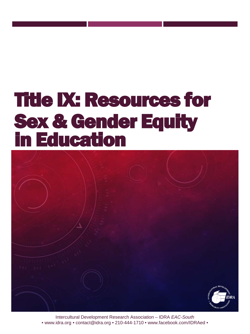# Title IX: Resources for Sex & Gender Equity in Education



Intercultural Development Research Association – IDRA *EAC-South* • www.idra.org • contact@idra.org • 210-444-1710 • www.facebook.com/IDRAed •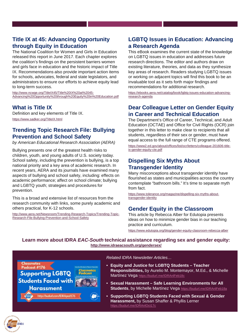# **Title IX at 45: Advancing Opportunity through Equity in Education**

The National Coalition for Women and Girls in Education released this report in June 2017. Each chapter explores the coalition's findings on the persistent barriers women and girls face in education and the historic impact of Title IX. Recommendations also provide important action items for schools, advocates, federal and state legislators, and administrators to ensure our efforts to achieve equity lead to long-term success.

http://www.ncwge.org/TitleIX45/Title%20IX%20at%2045-[Advancing%20Opportunity%20through%20Equity%20in%20Education.pdf](http://www.ncwge.org/TitleIX45/Title%20IX%20at%2045-Advancing%20Opportunity%20through%20Equity%20in%20Education.pdf)

#### **What is Title IX**

Definition and key elements of Title IX. <https://www.sadker.org/TitleIX.html>

#### **Trending Topic Research File: Bullying Prevention and School Safety**

*by American Educational Research Association (AERA)*

Bullying presents one of the greatest health risks to children, youth, and young adults of U.S. society today. School safety, including the prevention is bullying, is a top national priority and a key area of academic research. In recent years, AERA and its journals have examined many aspects of bullying and school safety, including: effects on academic performance; affect on school climate; bullying and LGBTQ youth; strategies and procedures for prevention.

This is a broad and extensive list of resources from the research community with links, some purely academic and others practical, for K-12 schools.

[http://www.aera.net/Newsroom/Trending-Research-Topics/Trending-Topic-](http://www.aera.net/Newsroom/Trending-Research-Topics/Trending-Topic-Research-File-Bullying-Prevention-and-School-Safety)Research-File-Bullying-Prevention-and-School-Safety

# **LGBTQ Issues in Education: Advancing a Research Agenda**

This eBook examines the current state of the knowledge on LGBTQ issues in education and addresses future research directions. The editor and authors draw on existing literature, theories, and data as they synthesize key areas of research. Readers studying LGBTQ issues or working on adjacent topics will find this book to be an invaluable tool as it sets forth major findings and recommendations for additional research.

[https://ebooks.aera.net/catalog/book/lgbtq-issues-education-advancing](https://ebooks.aera.net/catalog/book/lgbtq-issues-education-advancing-research-agenda)research-agenda

### **Dear Colleague Letter on Gender Equity in Career and Technical Education**

The Department's Office of Career, Technical, and Adult Education (OCTAE) and Office for Civil Rights (OCR) join together in this letter to make clear to recipients that all students, regardless of their sex or gender, must have equal access to the full range of CTE programs offered. [https://www2.ed.gov/about/offices/list/ocr/letters/colleague-201606-title](https://www2.ed.gov/about/offices/list/ocr/letters/colleague-201606-title-ix-gender-equity-cte.pdf)ix-gender-equity-cte.pdf

### **Dispelling Six Myths About Transgender Identity**

Many misconceptions about transgender identity have flourished as states and municipalities across the country contemplate "bathroom bills." It's time to separate myth from fact.

[https://www.tolerance.org/magazine/dispelling-six-myths-about](https://www.tolerance.org/magazine/dispelling-six-myths-about-transgender-identity)transgender-identity

# **Gender Equity in the Classroom**

This article by Rebecca Alber for Edutopia presents ideas on how to minimize gender bias in our teaching practice and curriculum.

<https://www.edutopia.org/blog/gender-equity-classroom-rebecca-alber>

#### **Learn more about IDRA** *EAC-South* **technical assistance regarding sex and gender equity: <http://www.idraeacsouth.org/gendersex/>**

**Classnotes Supporting LGBTQ Students Faced with Harassment** 

http://budurl.com/IDRApod176

*Related IDRA Newsletter Articles…* 

- **Equity and Justice for LGBTQ Students – Teacher Responsibilities,** by Aurelio M. Montemayor, M.Ed., & Michelle Martínez Vega <https://budurl.me/IDRAnlFeb18c>
- **Sexual Harassment – Safe Learning Environments for All Students**, by Michelle Martínez Vega <https://budurl.me/IDRAnlFeb18a>
- **Supporting LGBTQ Students Faced with Sexual & Gender Harassment,** by Susan Shaffer & Phyllis Lerner <https://budurl.me/IDRAnlOct17c>

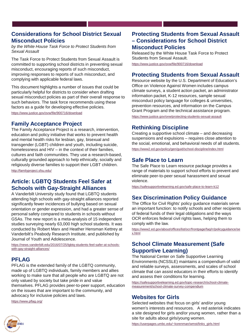#### **Considerations for School District Sexual Misconduct Policies**

*by the White House Task Force to Protect Students from Sexual Assault*

The Task Force to Protect Students from Sexual Assault is committed to supporting school districts in preventing sexual misconduct, encouraging reports of such misconduct, improving responses to reports of such misconduct, and complying with applicable federal laws.

This document highlights a number of issues that could be particularly helpful for districts to consider when drafting sexual misconduct policies as part of their overall response to such behaviors. The task force recommends using these factors as a guide for developing effective policies.

<https://www.justice.gov/ovw/file/900716/download>

#### **Family Acceptance Project**

The Family Acceptance Project is a research, intervention, education and policy initiative that works to prevent health and mental health risks for lesbian, gay, bisexual and transgender (LGBT) children and youth, including suicide, homelessness and HIV – in the context of their families, cultures and faith communities. They use a research-based, culturally grounded approach to help ethnically, socially and religiously diverse families to support their LGBT children. <http://familyproject.sfsu.edu/>

#### **Article: LGBTQ Students Feel Safer at Schools with Gay-Straight Alliances**

A Vanderbilt University study found that LGBTQ students attending high schools with gay-straight alliances reported significantly fewer incidences of bullying based on sexual orientation or gender expression, and had a greater sense of personal safety compared to students in schools without GSAs. The new report is a meta-analysis of 15 independent studies surveying nearly 63,000 high school students. It was conducted by Robert Marx and Heather Hensman Kettrey at Vanderbilt's Peabody Research Institute, and published by Journal of Youth and Adolescence.

[https://news.vanderbilt.edu/2016/07/25/lgbtq-students-feel-safer-at-schools](https://news.vanderbilt.edu/2016/07/25/lgbtq-students-feel-safer-at-schools-with-gay-straight-alliances/)with-gay-straight-alliances/

# **PFLAG**

PFLAG is the extended family of the LGBTQ community, made up of LGBTQ individuals, family members and allies working to make sure that all people who are LGBTQ are not only valued by society but take pride in and value themselves. PFLAG provides peer-to-peer support, education on the issues that are important to the community, and advocacy for inclusive policies and laws.

<https://www.pflag.org/>

#### **Protecting Students from Sexual Assault – Considerations for School District Misconduct Policies**

Released by the White House Task Force to Protect Students from Sexual Assault.

<https://www.justice.gov/ovw/file/900716/download>

#### **Protecting Students from Sexual Assault**

Resource website by the U.S. Department of Education's Office on Violence Against Women includes campus climate surveys, a student action packet, an administrator information packet, K-12 resources, sample sexual misconduct policy language for colleges & universities, prevention resources, and information on the Campus Grant Program and the technical assistance program.

<https://www.justice.gov/ovw/protecting-students-sexual-assault>

#### **Rethinking Discipline**

Creating a supportive school climate – and decreasing suspensions and expulsions – requires close attention to the social, emotional, and behavioral needs of all students.

<https://www2.ed.gov/policy/gen/guid/school-discipline/index.html>

#### **Safe Place to Learn**

The Safe Place to Learn resource package provides a range of materials to support school efforts to prevent and eliminate peer-to-peer sexual harassment and sexual violence.

<https://safesupportivelearning.ed.gov/safe-place-to-learn-k12>

#### **Sex Discrimination Policy Guidance**

The Office for Civil Rights' policy guidance materials serve an important function: to notify schools and other recipients of federal funds of their legal obligations and the ways OCR enforces federal civil rights laws, helping them to comply with the law.

[https://www2.ed.gov/about/offices/list/ocr/frontpage/faq/rr/policyguidance/se](https://www2.ed.gov/about/offices/list/ocr/frontpage/faq/rr/policyguidance/sex.html) x.html

#### **School Climate Measurement (Safe Supportive Learning)**

The National Center on Safe Supportive Learning Environments (NCSSLE) maintains a compendium of valid and reliable surveys, assessments, and scales of school climate that can assist educators in their efforts to identify and assess their conditions for learning.

[https://safesupportivelearning.ed.gov/topic-research/school-climate](https://safesupportivelearning.ed.gov/topic-research/school-climate-measurement/school-climate-survey-compendium)measurement/school-climate-survey-compendium

#### **Websites for Girls**

Selected websites that focus on girls' and/or young women's interests and resources. A red asterisk indicates a site designed for girls and/or young women, rather than a site for adults about girls/young women.

[https://userpages.umbc.edu/~korenman/wmst/links\\_girls.html](https://userpages.umbc.edu/%7Ekorenman/wmst/links_girls.html)